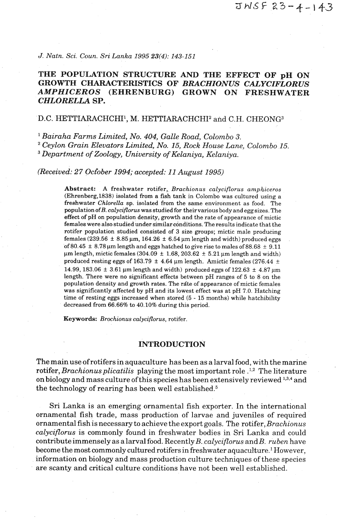*J. Natn. Sci. Coun. Sri Lanka 1995 23(4): 143-151* 

# **THE POPULATION STRUCTURE AND THE EFFECT OF pH ON GROWTH CHARACTERISTICS OF** *BRACHIONUS CALYCIFLORUS AMPHICEROS* **(EHRENBURG) GROWN ON FRESHWATER**  *CHLORELLA* **SP.**

## D.C. HETTIARACHCHI<sup>1</sup>, M. HETTIARACHCHI<sup>2</sup> and C.H. CHEONG<sup>3</sup>

*Bairaha Farms Limited, No. 404, Galle Road, Colombo 3. Ceylon Grain Elevators Limited, No. 15, Rock House Lane, Colombo 15.* 

*Department of Zoology, University of Kelaniya, Kelaniya.* 

*(Received: 27 October 1994; accepted: 11 August 1995)* 

**Abstract:** A freshwater rotifer, Brachionus calyciflorus amphiceros (Ehrenberg,1838) isolated from a fish tank in Colombo was cultured using a freshwater Chlorella sp. isolated from the same environment as food. The population of  $B$ . calyciflorus was studied for their various body and egg sizes. The effect of pH on population density, growth and the rate of appearance of mictic females were also studied under similarconditions. The results indicate that the rotifer population studied consisted of 3 size groups; mictic male producing females (239.56  $\pm$  8.85  $\mu$ m, 164.26  $\pm$  6.54  $\mu$ m length and width) produced eggs of 80.45  $\pm$  8.78  $\mu$ m length and eggs hatched to give rise to males of 88.68  $\pm$  9.11  $\mu$ m length, mictic females (304.09  $\pm$  1.68, 203.62  $\pm$  5.21  $\mu$ m length and width) produced resting eggs of 163.79  $\pm$  4.64  $\mu$ m length. Amictic females (276.44  $\pm$ 14.99, 183.06  $\pm$  3.61  $\mu$ m length and width) produced eggs of 122.63  $\pm$  4.87  $\mu$ m length. There were no significant effects between pH ranges of 5 to 8 on the population density and growth rates. The rate of appearance of mictic females was significantly affected by pH and its lowest effect was at pH 7.0. Hatching time of resting eggs increased when stored (5 - 15 months) while hatchibility decreased from 66.66% to 40.10% during this period.

**Keywords:** Brochionus calyciflorus, rotifer.

## **INTRODUCTION**

The main use ofrotifers in aquaculture has been as a larval food, with the marine rotifer, *Brachionus plicatilis* playing the most important role  $\frac{1}{2}$ . The literature on biology and mass culture of this species has been extensively reviewed 1,3,4 and the technology of rearing has been well established. $5$ 

Sri Lanka is an emerging ornamental fish exporter. In the international ornamental fish trade, mass production of larvae and juveniles of required ornamental fish is necessary to achieve the export goals. The rotifer, *Brachionus calyciflorus* is commonly found in freshwater bodies in Sri Lanka and could contribute immensely as a larval food. Recently B. *calyciflorus* and *B. ruben* have become the most commonly cultured rotifers in freshwater aquaculture.<sup>1</sup> However, information on biology and mass production culture techniques of these species are scanty and critical culture conditions have not been well established.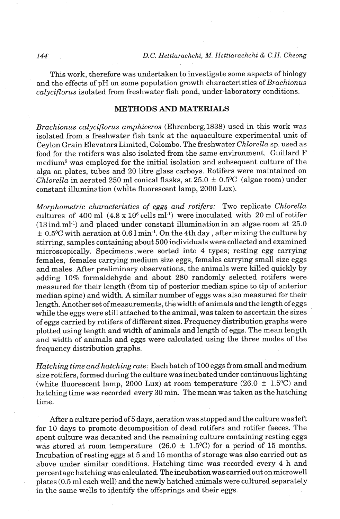This work, therefore was undertaken to investigate some aspects of biology and the effects of pH on some population growth characteristics of *Brachionus calyciflorus* isolated from freshwater fish pond, under laboratory conditions.

## **METHODS AND MATERIALS**

*Brachionus calyciflorus amphiceros* (Ehrenberg,l838) used in this work was isolated from a freshwater fish tank at the aquaculture experimental unit of Ceylon Grain Elevators Limited, Colombo. The freshwater *Chlorella* sp. used as food for the rotifers was also isolated from the same environment. Guillard F medium6 was employed for the initial isolation and subsequent culture of the alga on plates, tubes and 20 litre glass carboys. Rotifers were maintained on *Chlorella* in aerated 250 ml conical flasks, at  $25.0 \pm 0.5$ <sup>o</sup>C (algae room) under constant illumination (white fluorescent lamp, 2000 Lux).

*Morphometric characteristics of eggs and rotifers:* Two replicate *Chlorella*  cultures of 400 ml  $(4.8 \times 10^6 \text{ cells m}^{-1})$  were inoculated with 20 ml of rotifer  $(13 \text{ ind.m}^{1})$  and placed under constant illumination in an algae room at  $25.0$  $\pm$  0.5°C with aeration at 0.6 l min<sup>-1</sup>. On the 4th day, after mixing the culture by stirring, samples containing about 500 individuals were collected and examined microscopically. Specimens were sorted into 4 types; resting egg carrying females, females carrying medium size eggs, females carrying small size eggs and males. After preliminary observations, the animals were killed quickly by adding 10% formaldehyde and about 280 randomly selected rotifers were measured for their length (from tip of posterior median spine to tip of anterior median spine) and width. **A** similar number of eggs was also measured for their length. Another set ofmeasurements, the width of animals and the length of eggs while the eggs were still attached to the animal, was taken to ascertain the sizes of eggs carried by rotifers of different sizes. Frequency distribution graphs were plotted using length and width of animals and length of eggs. The mean length and width of animals and eggs were calculated using the three modes of the frequency distribution graphs.

*Hatching time and hatching rate:* Each batch of 100 eggs from small and medium size rotifers, formed during the culture was incubated under continuous lighting (white fluorescent lamp, 2000 Lux) at room temperature  $(26.0 \pm 1.5^{\circ}C)$  and hatching time was recorded every 30 min. The mean was taken as the hatching time.

After a culture period of 5 days, aeration was stopped and the culture was left for 10 days to promote decomposition of dead rotifers and rotifer faeces. The spent culture was decanted and the remaining culture containing resting. eggs was stored at room temperature (26.0  $\pm$  1.5°C) for a period of 15 months. Incubation of resting eggs at 5 and 15 months of storage was also carried out as above under similar conditions. Hatching time was recorded every 4 h and percentage hatching was calculated. The incubation was carried out on microwell plates (0.5 ml each well) and the newly hatched animals were cultured separately in the same wells to identify the offsprings and their eggs.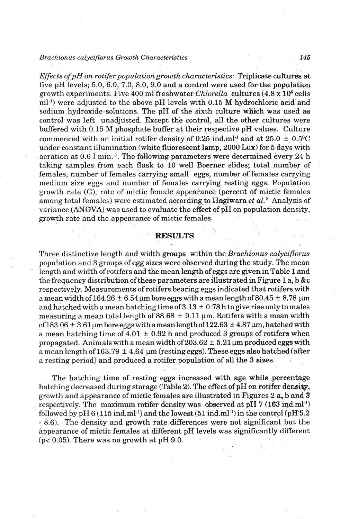*Effects of pH on rotifer population growth characteristics: Triplicate cultures at* five pH levels;  $5.0, 6.0, 7.0, 8.0, 9.0$  and a control were used for the population growth experiments. Five **400** ml freshwater *Chlorella* cultures **(4.8** x **106** cells ml-l) were adjusted to the above pH levels with **0.15** M hydrochloric acid and sodium hydroxide solutions. The pH of the sixth culture which was used *as*  control was left unadjusted. Except the control, all the other cultures were buffered with **0.15** M phosphate buffer at their respective pH values. Culture commenced with an initial rotifer density of 0.25  $ind.ml^{-1}$  and at  $25.0 \pm 0.5^{\circ}C$ under constant illumination (white fluorescent lamp, **2000** Lux) for **5** days with aeration at **0.6** 1 min.-l. The following parameters were determined every 24 h taking samples from each flask to **10** well Boerraer slides; total number of females, number of females carrying small eggs, number of females canying medium size eggs and number of females carrying resting eggs. Population growth rate (G), rate of mictic female appearance (percent of mictic females among total females) were estimated according to Hagiwara *et aL2* Analysis of variance **(ANOVA)** was used to evaluate the effect of pH on population density, growth rate and the appearance of mictic females.

#### **RESULTS**

Three distinctive length and width **groups** within the *Brachianus calyciflorus*  population and *3* groups of egg sizes were observed during the study. The mean length and width of rotifers and the mean length of eggs **are** given in Table **1** and the frequency distribution of these parameters are illustrated in Figure **1** a, b &c respectively. Measurements of rotifers bearing eggs indicated that rotifers with a mean width of  $164.26 \pm 6.54$   $\mu$ m bore eggs with a mean length of  $80.45 \pm 8.78$   $\mu$ m and hatched with a mean hatching time of **3.13** + **0.78** h to give rise only to males measuring a mean total length of  $88.68 \pm 9.11$  µm. Rotifers with a mean width of  $183.06 \pm 3.61 \,\mu$ m bore eggs with a mean length of  $122.63 \pm 4.87 \,\mu$ m, hatched with a mean hatching time of  $4.01 \pm 0.92$  h and produced 3 groups of rotifers when propagated. Animals with a mean width of  $203.62 \pm 5.21$   $\mu$ m produced eggs with a mean length of  $163.79 \pm 4.64 \mu m$  (resting eggs). These eggs also hatched (after a resting period) and produced a rotifer population of all the 3 sizes.

The hatching time of resting eggs increased with age **while** ,percentage hatching decreased during storage (Table 2). The effect of pH on rotifer densitg, growth and appearance of mictic females are illustrated in Figures **2 a,** b **and 3**  respectively. The maximum rotifer density was observed at pH  $7$  (163 ind.ml<sup>-1</sup>) followed by pH  $6(115 \text{ ind.m}^1)$  and the lowest  $(51 \text{ ind.m}^1)$  in the control  $(pH5.2)$ - **8.6).** The density and growth rate differences were not significant but the appearance of mictic females at different pH levels was significantly different (p< **0.05).** There was no growth at pH **9.0.**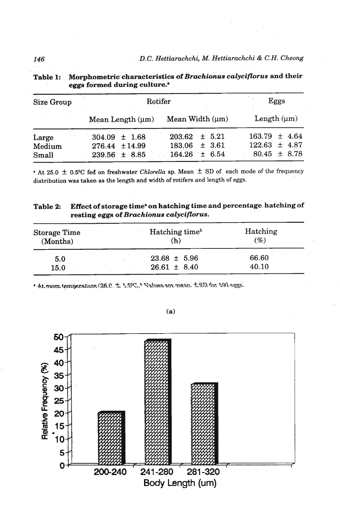| <b>Size Group</b> | Rotifer               | Eggs                 |                   |
|-------------------|-----------------------|----------------------|-------------------|
|                   | Mean Length $(\mu m)$ | Mean Width $(\mu m)$ | Length $(\mu m)$  |
| Large             | $304.09 \pm 1.68$     | $203.62 \pm 5.21$    | $163.79 \pm 4.64$ |
| Medium            | 276.44 ± 14.99        | $183.06 \pm 3.61$    | $122.63 \pm 4.87$ |
| Small             | $239.56 \pm 8.85$     | $164.26 \pm 6.54$    | $80.45 \pm 8.78$  |

| 146               |                                                                                                               | D.C. Hettiarachchi, M. Hettiarachchi & C.H. Cheong |      |  |
|-------------------|---------------------------------------------------------------------------------------------------------------|----------------------------------------------------|------|--|
| Table 1:          | Morphometric characteristics of Brachionus calyciflorus and their<br>eggs formed during culture. <sup>8</sup> |                                                    |      |  |
| <b>Size Group</b> |                                                                                                               | Rotifer                                            | Eggs |  |

" **At 25.0 f 0.5OC fed on freshwater** *Chlorella* **sp. Mean f SD of each mode of the frequency distribution was taken as the length and width of rotifers and length of eggs.** 

| Table 2: | Effect of storage time <sup>s</sup> on hatching time and percentage hatching of |  |  |  |
|----------|---------------------------------------------------------------------------------|--|--|--|
|          | resting eggs of Brachionus calyciflorus.                                        |  |  |  |
|          |                                                                                 |  |  |  |

| Storage Time<br>(Months) | Hatching time <sup>b</sup><br>(h)    | Hatching<br>(%)<br>66.60<br>40.10 |
|--------------------------|--------------------------------------|-----------------------------------|
| 5.0<br>15.0              | $23.68 \pm 5.96$<br>$26.61 \pm 8.40$ |                                   |

\* At mom temperature (26.0 ± 1.5%, Values are mean. ± SD for 100 eggs.



 $(a)$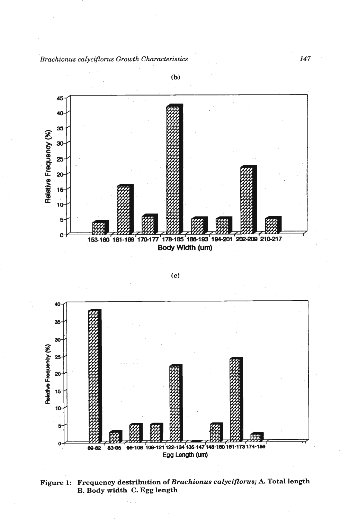





**Figure 1: Frequency destribution of** *Brachionus calyciflorus;* **A. Total length B. Body width C. Egg length** 

**(b)**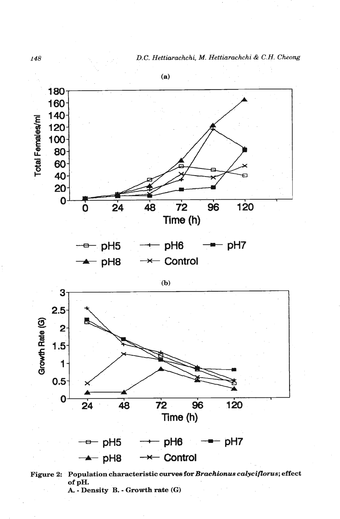148 *D.C. Hettiarachchi, M. Hettiarachchi & C.H. Cheong* 





**Figure 2: Population characteristic curves for** *Brachionus calyciflorus***; effect of pH. A.** - **Density B.** - **Growth rate** *(G)*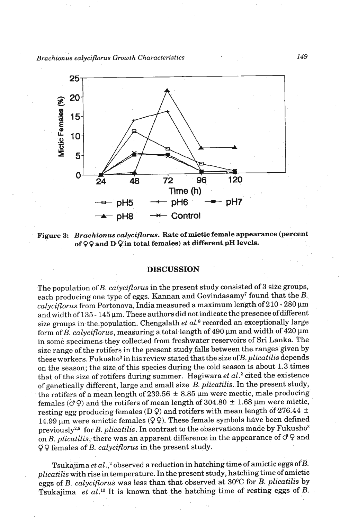

**Figure 3:** *Brachionus calyciflorus.* **Rate of mictic female appearance (percent of Q Q and D 9 in total females) at different pH levels.** 

#### **DISCUSSION**

The population of B. calyciflorus in the present study consisted of **3** size groups, each producing one type of eggs. Kannan and Govindasamy<sup>7</sup> found that the  $B$ . calyciflorus from Portonova, India measured a maximum length of 210 - 280 um and width of 135 - 145  $\mu$ m. These authors did not indicate the presence of different size groups in the population. Chengalath  $et~al.^{8}$  recorded an exceptionally large form of B. calyciflorus, measuring a total length of **490 pm** and width of **420** pm in some specimens they collected from freshwater reservoirs of **Sri** Lanka. The size range of the rotifers in the present study-falls between the ranges given by these workers. Fukusho<sup>3</sup> in his review-stated that the size of  $B$ . plicatilis depends on the season; the size of this species during the cold season is about **1.3** times that of the size of rotifers during summer. Hagiwara et  $al.^2$  cited the existence of genetically different, large and small size B. plicatilis. In the present study, the rotifers of a mean length of 239.56  $\pm$  8.85  $\mu$ m were mectic, male producing females ( $\sigma$ <sup>2</sup>) and the rotifers of mean length of 304.80  $\pm$  1.68  $\mu$ m were mictic, resting egg producing females  $(D \varphi)$  and rotifers with mean length of 276.44  $\pm$ 14.99  $\mu$ m were amictic females (99). These female symbols have been defined previously<sup>2,9</sup> for B. plicatilis. In contrast to the observations made by Fukusho<sup>3</sup> on B. plicatilis, there was an apparent difference in the appearance of  $\sigma$  Q and **Q** 9 females of B. calyciflorus in the present study.

Tsukajima et  $al$ ,  $\alpha$  observed a reduction in hatching time of amictic eggs of B. plicatilis with rise in temperature. In the present study, hatching time of amictic eggs of B. calyciflorus was less than that observed at **30°C** for B. plicatilis by Tsukajima et al.<sup>10</sup> It is known that the hatching time of resting eggs of *B*.

149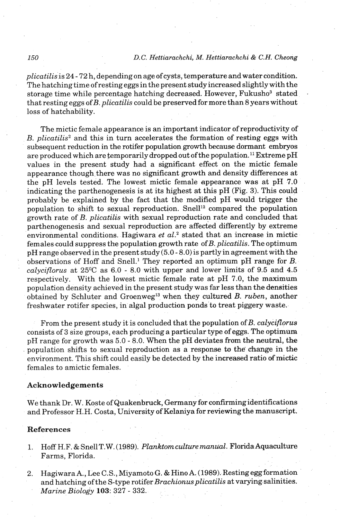## *150 D. C. Hettiarachchi, M. Hettiarachchi* & *C.H. Cheong*

*plicatilis* is *24* - 72 h, depending on age of cysts, temperature and water condition. The hatching time ofresting eggs in the present study increased slightly with the storage time while percentage hatching decreased. However, Fukusho<sup>3</sup> stated that resting eggs ofB. *plicatilis* could be preserved for more than 8 years without loss of hatchability.

The mictic female appearance is an important indicator of reproductivity of B. *plicatilis2* and this in turn accelerates the formation of resting eggs with subsequent reduction in the rotifer population growth because dormant embryos are produced which are temporarily dropped out of the population.<sup>11</sup> Extreme pH values in the present study had a significant effect on the mictic female appearance though there was no significant growth and density differences at the pH levels tested. The lowest mictic female appearance was at pH 7.0 indicating the parthenogenesis is at its highest at this pH (Fig. 3). This could probably be explained by the fact that the modified pH would trigger the population to shift to sexual reproduction. Snell<sup>12</sup> compared the population growth rate of B. *plicatilis* with sexual reproduction rate and concluded that parthenogenesis and sexual reproduction are affected differently by extreme environmental conditions. Hagiwara *et al.*<sup>2</sup> stated that an increase in mictic females could suppress the population growth rate ofB. *plicatilis.* The optimum pH range observed in the present study (5.0 - 8.0)is partly in agreement with the observations of Hoff and Snell.' They reported an optimum pH range for B. *calyciflorus* at 25°C as 6.0 - 8.0 with upper and lower limits of 9.5 and 4.5 respectively. With the lowest mictic female rate at pH 7.0, the maximum population density achieved in the present study was far less than the densities obtained by Schluter and Groenweg13 when they cultured B. *ruben,* another freshwater rotifer species, in algal production ponds to treat piggery waste.

From the present study it is concluded that the population of B. *calyciflorus*  consists of 3 size groups, each producing a particular type of eggs. The optimum pH range for growth was 5.0 - 8.0. When the pH deviates from the neutral, the population shifts to sexual reproduction as a response to the' change in the environment. This shift could easily be detected by the increased ratio of mictic females to amictic females.

### Acknowledgements

We thank Dr. W. Koste of Quakenbruck, Germany for **confirmingidentifications**  and Professor H.H. Costa, University of Kelaniya for reviewing the manuscript.

## References

- 1. Hoff H.F. & Snell T. W. (1989). *Planktom culture manual.* Florida Aquaculture Farms, Florida.
- 2. Hagiwara **A.,** Lee C.S., Miyamoto G. & Hino A. (1989). Resting egg formation and hatching of the S-type rotifer *Brachionusplicatilis* at varying salinities. *Marine Biology* 103: 327 - 332.